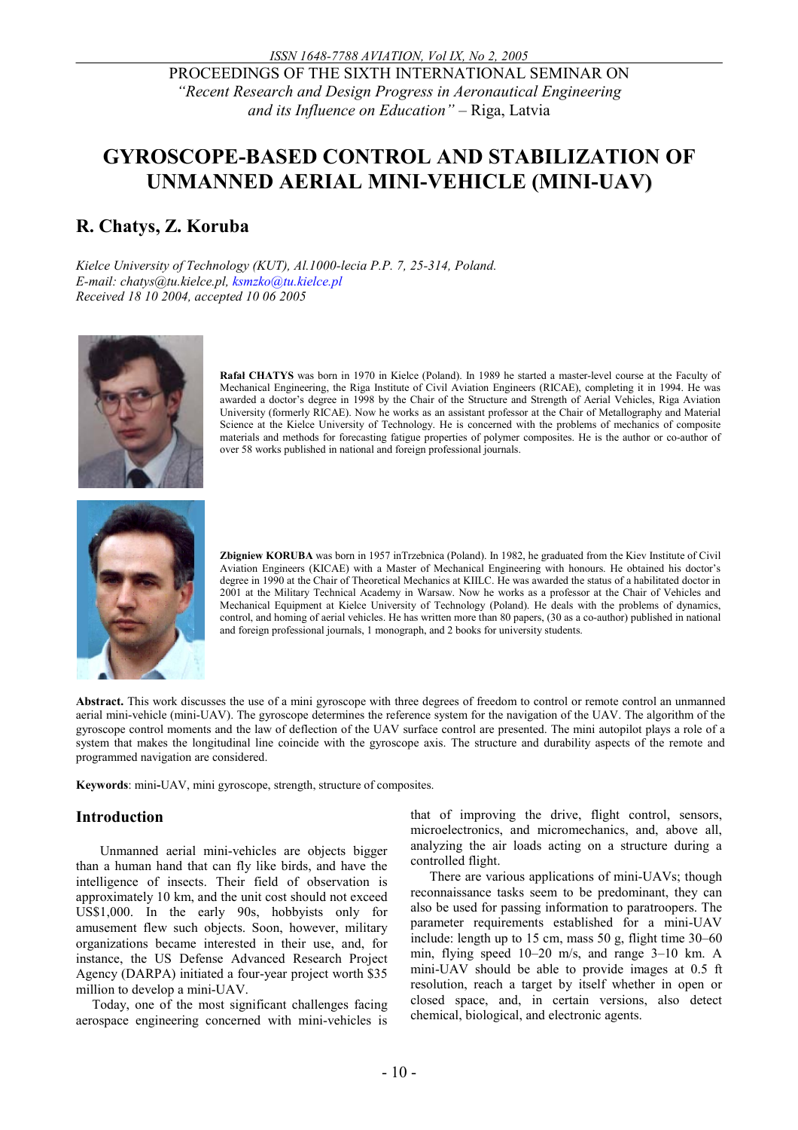PROCEEDINGS OF THE SIXTH INTERNATIONAL SEMINAR ON *"Recent Research and Design Progress in Aeronautical Engineering and its Influence on Education" –* Riga, Latvia

# **GYROSCOPE-BASED CONTROL AND STABILIZATION OF UNMANNED AERIAL MINI-VEHICLE (MINI-UAV)**

## **R. Chatys, Z. Koruba**

*Kielce University of Technology (KUT), Al.1000-lecia P.P. 7, 25-314, Poland. E-mail: chatys@tu.kielce.pl, ksmzko@tu.kielce.pl Received 18 10 2004, accepted 10 06 2005* 



**Rafał CHATYS** was born in 1970 in Kielce (Poland). In 1989 he started a master-level course at the Faculty of Mechanical Engineering, the Riga Institute of Civil Aviation Engineers (RICAE), completing it in 1994. He was awarded a doctor's degree in 1998 by the Chair of the Structure and Strength of Aerial Vehicles, Riga Aviation University (formerly RICAE). Now he works as an assistant professor at the Chair of Metallography and Material Science at the Kielce University of Technology. He is concerned with the problems of mechanics of composite materials and methods for forecasting fatigue properties of polymer composites. He is the author or co-author of over 58 works published in national and foreign professional journals.



**Zbigniew KORUBA** was born in 1957 inTrzebnica (Poland). In 1982, he graduated from the Kiev Institute of Civil Aviation Engineers (KICAE) with a Master of Mechanical Engineering with honours. He obtained his doctor's degree in 1990 at the Chair of Theoretical Mechanics at KIILC. He was awarded the status of a habilitated doctor in 2001 at the Military Technical Academy in Warsaw. Now he works as a professor at the Chair of Vehicles and Mechanical Equipment at Kielce University of Technology (Poland). He deals with the problems of dynamics, control, and homing of aerial vehicles. He has written more than 80 papers, (30 as a co-author) published in national and foreign professional journals, 1 monograph, and 2 books for university students.

**Abstract.** This work discusses the use of a mini gyroscope with three degrees of freedom to control or remote control an unmanned aerial mini-vehicle (mini-UAV). The gyroscope determines the reference system for the navigation of the UAV. The algorithm of the gyroscope control moments and the law of deflection of the UAV surface control are presented. The mini autopilot plays a role of a system that makes the longitudinal line coincide with the gyroscope axis. The structure and durability aspects of the remote and programmed navigation are considered.

**Keywords**: mini**-**UAV, mini gyroscope, strength, structure of composites.

### **Introduction**

Unmanned aerial mini-vehicles are objects bigger than a human hand that can fly like birds, and have the intelligence of insects. Their field of observation is approximately 10 km, and the unit cost should not exceed US\$1,000. In the early 90s, hobbyists only for amusement flew such objects. Soon, however, military organizations became interested in their use, and, for instance, the US Defense Advanced Research Project Agency (DARPA) initiated a four-year project worth \$35 million to develop a mini-UAV.

Today, one of the most significant challenges facing aerospace engineering concerned with mini-vehicles is that of improving the drive, flight control, sensors, microelectronics, and micromechanics, and, above all, analyzing the air loads acting on a structure during a controlled flight.

There are various applications of mini-UAVs; though reconnaissance tasks seem to be predominant, they can also be used for passing information to paratroopers. The parameter requirements established for a mini-UAV include: length up to 15 cm, mass 50 g, flight time 30–60 min, flying speed 10–20 m/s, and range 3–10 km. A mini-UAV should be able to provide images at 0.5 ft resolution, reach a target by itself whether in open or closed space, and, in certain versions, also detect chemical, biological, and electronic agents.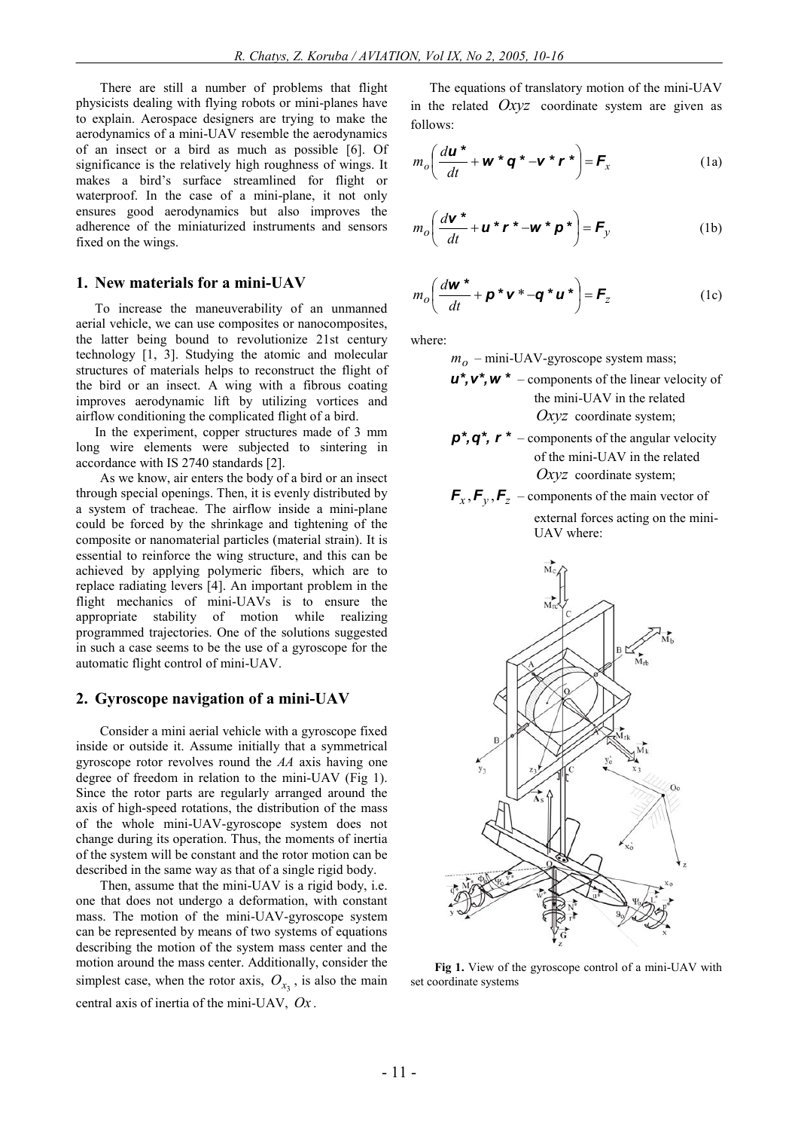There are still a number of problems that flight physicists dealing with flying robots or mini-planes have to explain. Aerospace designers are trying to make the aerodynamics of a mini-UAV resemble the aerodynamics of an insect or a bird as much as possible [6]. Of significance is the relatively high roughness of wings. It makes a bird's surface streamlined for flight or waterproof. In the case of a mini-plane, it not only ensures good aerodynamics but also improves the adherence of the miniaturized instruments and sensors fixed on the wings.

#### **1. New materials for a mini-UAV**

To increase the maneuverability of an unmanned aerial vehicle, we can use composites or nanocomposites, the latter being bound to revolutionize 21st century technology [1, 3]. Studying the atomic and molecular structures of materials helps to reconstruct the flight of the bird or an insect. A wing with a fibrous coating improves aerodynamic lift by utilizing vortices and airflow conditioning the complicated flight of a bird.

In the experiment, copper structures made of 3 mm long wire elements were subjected to sintering in accordance with IS 2740 standards [2].

As we know, air enters the body of a bird or an insect through special openings. Then, it is evenly distributed by a system of tracheae. The airflow inside a mini-plane could be forced by the shrinkage and tightening of the composite or nanomaterial particles (material strain). It is essential to reinforce the wing structure, and this can be achieved by applying polymeric fibers, which are to replace radiating levers [4]. An important problem in the flight mechanics of mini-UAVs is to ensure the appropriate stability of motion while realizing programmed trajectories. One of the solutions suggested in such a case seems to be the use of a gyroscope for the automatic flight control of mini-UAV.

#### **2. Gyroscope navigation of a mini-UAV**

Consider a mini aerial vehicle with a gyroscope fixed inside or outside it. Assume initially that a symmetrical gyroscope rotor revolves round the *AA* axis having one degree of freedom in relation to the mini-UAV (Fig 1). Since the rotor parts are regularly arranged around the axis of high-speed rotations, the distribution of the mass of the whole mini-UAV-gyroscope system does not change during its operation. Thus, the moments of inertia of the system will be constant and the rotor motion can be described in the same way as that of a single rigid body.

Then, assume that the mini-UAV is a rigid body, i.e. one that does not undergo a deformation, with constant mass. The motion of the mini-UAV-gyroscope system can be represented by means of two systems of equations describing the motion of the system mass center and the motion around the mass center. Additionally, consider the simplest case, when the rotor axis,  $O_{x_3}$ , is also the main central axis of inertia of the mini-UAV, *Ox* .

The equations of translatory motion of the mini-UAV in the related *Oxyz* coordinate system are given as follows:

$$
m_o \left( \frac{d\boldsymbol{u}^*}{dt} + \boldsymbol{w}^* \boldsymbol{q}^* - \boldsymbol{v}^* \boldsymbol{r}^* \right) = \boldsymbol{F}_x \tag{1a}
$$

$$
m_o \left( \frac{d\mathbf{v}^*}{dt} + \mathbf{u}^* \mathbf{r}^* - \mathbf{w}^* \mathbf{p}^* \right) = \mathbf{F}_y \tag{1b}
$$

$$
m_o \left( \frac{d\mathbf{w}^*}{dt} + \mathbf{p}^* \mathbf{v}^* - \mathbf{q}^* \mathbf{u}^* \right) = \mathbf{F}_z
$$
 (1c)

where:

*mo* – mini-UAV-gyroscope system mass;

- *u\*,v\*,w \** components of the linear velocity of the mini-UAV in the related *Oxyz* coordinate system;
- *p\*,q\*, r \** components of the angular velocity of the mini-UAV in the related *Oxyz* coordinate system;
- $\mathbf{F}_x$ ,  $\mathbf{F}_y$ ,  $\mathbf{F}_z$  components of the main vector of external forces acting on the mini-UAV where:



**Fig 1.** View of the gyroscope control of a mini-UAV with set coordinate systems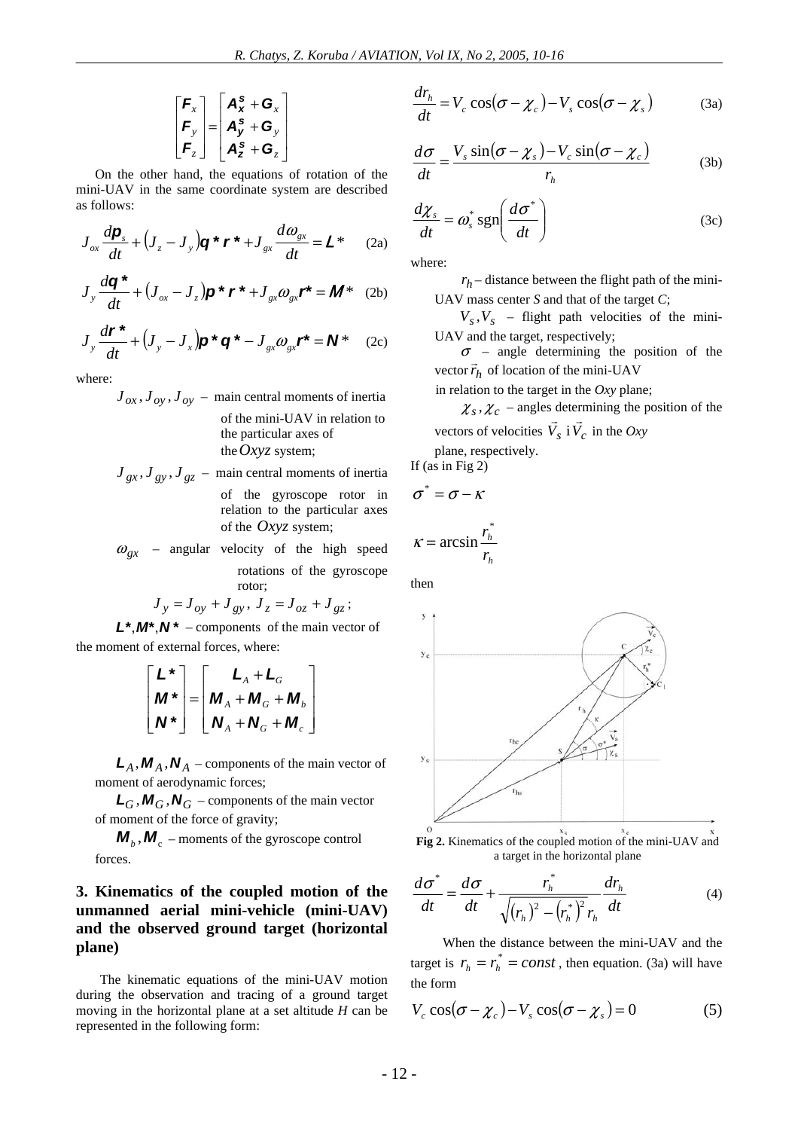$$
\begin{bmatrix} \mathbf{F}_x \\ \mathbf{F}_y \\ \mathbf{F}_z \end{bmatrix} = \begin{bmatrix} \mathbf{A}_x^s + \mathbf{G}_x \\ \mathbf{A}_y^s + \mathbf{G}_y \\ \mathbf{A}_z^s + \mathbf{G}_z \end{bmatrix}
$$

On the other hand, the equations of rotation of the mini-UAV in the same coordinate system are described as follows:

$$
J_{ox}\frac{d\mathbf{p}_s}{dt} + \left(J_z - J_y\right)\mathbf{q} \star \mathbf{r} \star + J_{gx}\frac{d\omega_{gx}}{dt} = \mathbf{L} \star \qquad (2a)
$$

$$
J_y \frac{d\mathbf{q}^*}{dt} + (J_{ox} - J_z)\mathbf{p}^* \mathbf{r}^* + J_{gx} \omega_{gx} \mathbf{r}^* = \mathbf{M}^*
$$
 (2b)

$$
J_y \frac{d\mathbf{r}^*}{dt} + (J_y - J_x)\mathbf{p}^* \mathbf{q}^* - J_{gx}\omega_{gx}\mathbf{r}^* = \mathbf{N}^*
$$
 (2c)

where:

$$
J_{ox}, J_{oy}, J_{oy}
$$
 – main central moments of inertia of the mini-UAV in relation to the particular axes of the *Oxyz* system;

$$
J_{gx}, J_{gy}, J_{gz} - \text{main central moments of inertia}
$$
  
of the gyroscope rotor in

relation to the particular axes of the *Oxyz* system;

 $\omega_{\rho x}$  – angular velocity of the high speed rotations of the gyroscope

rotor;  
\n
$$
J_y = J_{oy} + J_{gy}, J_z = J_{oz} + J_{gz};
$$

*L\**,*M\**,*N \** – components of the main vector of the moment of external forces, where:

$$
\begin{bmatrix} L^* \\ M^* \\ N^* \end{bmatrix} = \begin{bmatrix} L_A + L_G \\ M_A + M_G + M_b \\ N_A + N_G + M_c \end{bmatrix}
$$

 $L_A$ ,  $M_A$ ,  $N_A$  – components of the main vector of moment of aerodynamic forces;

 $L_G$ ,  $M_G$ ,  $N_G$  – components of the main vector of moment of the force of gravity;

 $M_b$ ,  $M_c$  – moments of the gyroscope control forces.

## **3. Kinematics of the coupled motion of the unmanned aerial mini-vehicle (mini-UAV) and the observed ground target (horizontal plane)**

The kinematic equations of the mini-UAV motion during the observation and tracing of a ground target moving in the horizontal plane at a set altitude *H* can be represented in the following form:

$$
\frac{dr_h}{dt} = V_c \cos(\sigma - \chi_c) - V_s \cos(\sigma - \chi_s)
$$
 (3a)

$$
\frac{d\sigma}{dt} = \frac{V_s \sin(\sigma - \chi_s) - V_c \sin(\sigma - \chi_c)}{r_h}
$$
 (3b)

$$
\frac{d\chi_s}{dt} = \omega_s^* \text{sgn}\left(\frac{d\sigma^*}{dt}\right) \tag{3c}
$$

where:

 $r_h$  – distance between the flight path of the mini-UAV mass center *S* and that of the target *C*;

 $V_s$ ,  $V_s$  – flight path velocities of the mini-UAV and the target, respectively;

 $\sigma$  – angle determining the position of the vector  $\vec{r}_h$  of location of the mini-UAV

in relation to the target in the *Oxy* plane;

 $\chi_s$ ,  $\chi_c$  – angles determining the position of the vectors of velocities  $\vec{V}_s$  i  $\vec{V}_c$  in the *Oxy* 

plane, respectively. If (as in Fig 2)

$$
\sigma^* = \sigma - \kappa
$$

$$
\kappa = \arcsin \frac{r_h^*}{r_h}
$$

then



**Fig 2.** Kinematics of the coupled motion of the mini-UAV and a target in the horizontal plane

$$
\frac{d\sigma^*}{dt} = \frac{d\sigma}{dt} + \frac{r_h^*}{\sqrt{(r_h)^2 - (r_h^*)^2} r_h} \frac{dr_h}{dt}
$$
(4)

When the distance between the mini-UAV and the target is  $r_h = r_h^* = const$ , then equation. (3a) will have the form

$$
V_c \cos(\sigma - \chi_c) - V_s \cos(\sigma - \chi_s) = 0 \tag{5}
$$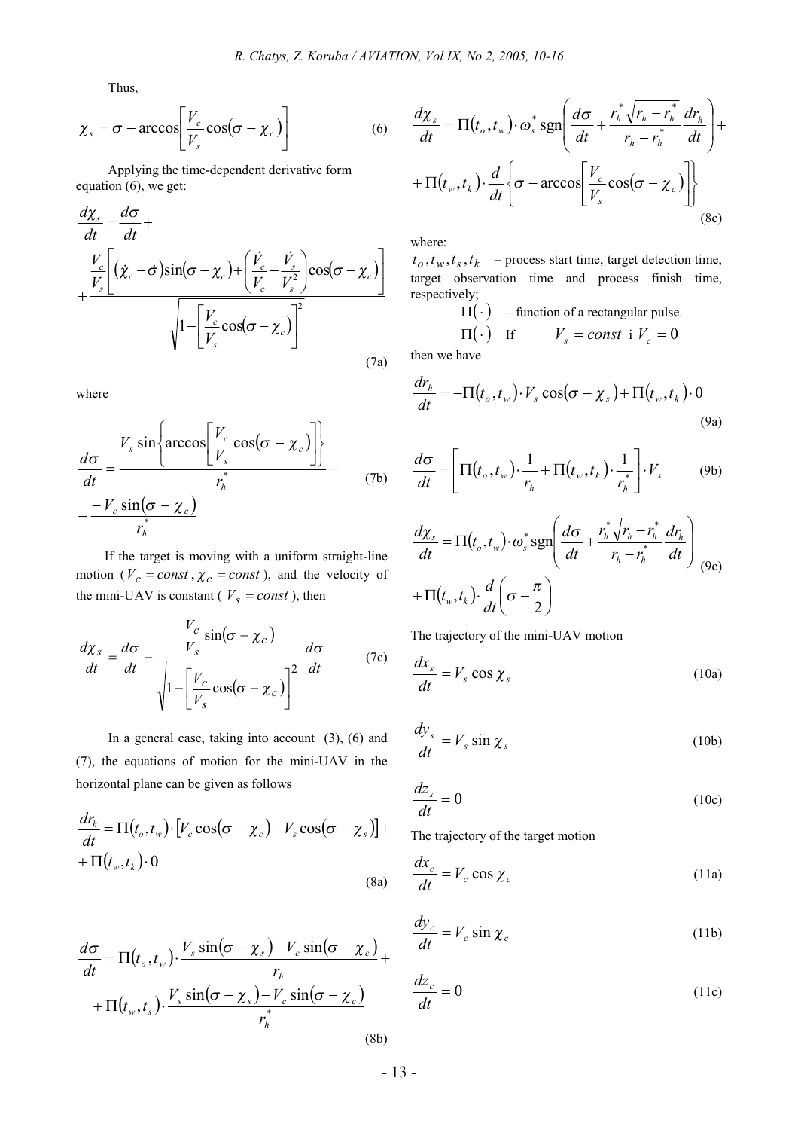Thus,

$$
\chi_s = \sigma - \arccos\bigg[\frac{V_c}{V_s}\cos(\sigma - \chi_c)\bigg]
$$
 (6)

Applying the time-dependent derivative form equation  $(6)$ , we get:

$$
\frac{d\chi_s}{dt} = \frac{d\sigma}{dt} + \frac{V_c}{V_s} \left[ (\dot{\chi}_c - \dot{\sigma}) \sin(\sigma - \chi_c) + \left( \frac{\dot{V}_c}{V_c} - \frac{\dot{V}_s}{V_s^2} \right) \cos(\sigma - \chi_c) \right] + \frac{V_c}{V_s} \cos(\sigma - \chi_c) \frac{1}{V_s} \tag{7a}
$$

where

$$
\frac{d\sigma}{dt} = \frac{V_s \sin\left\{\arccos\left[\frac{V_c}{V_s}\cos(\sigma - \chi_c)\right]\right\}}{r_h^*} - \frac{-V_c \sin(\sigma - \chi_c)}{r_h^*}
$$
\n(7b)

If the target is moving with a uniform straight-line motion ( $V_c = const$ ,  $\chi_c = const$ ), and the velocity of the mini-UAV is constant ( $V_s = const$ ), then

$$
\frac{d\chi_s}{dt} = \frac{d\sigma}{dt} - \frac{\frac{V_c}{V_s}\sin(\sigma - \chi_c)}{\sqrt{1 - \left[\frac{V_c}{V_s}\cos(\sigma - \chi_c)\right]^2}} \frac{d\sigma}{dt}
$$
(7c)

In a general case, taking into account  $(3)$ ,  $(6)$  and (7), the equations of motion for the mini-UAV in the horizontal plane can be given as follows

$$
\frac{dr_h}{dt} = \Pi(t_o, t_w) \cdot [V_c \cos(\sigma - \chi_c) - V_s \cos(\sigma - \chi_s)] + \n+ \Pi(t_w, t_k) \cdot 0
$$
\n(8a)

$$
\frac{d\chi_s}{dt} = \Pi(t_o, t_w) \cdot \omega_s^* \operatorname{sgn}\left(\frac{d\sigma}{dt} + \frac{r_h^* \sqrt{r_h - r_h^*}}{r_h - r_h^*} \frac{dr_h}{dt}\right) + \left. + \Pi(t_w, t_k) \cdot \frac{d}{dt} \left\{\sigma - \arccos\left[\frac{V_c}{V_s} \cos(\sigma - \chi_c)\right] \right\} \right\}
$$
\n(8c)

where:

 $t_o, t_w, t_s, t_k$  – process start time, target detection time, target observation time and process finish time, respectively;

$$
\Pi(\cdot) \quad \text{- function of a rectangular pulse} \\
\Pi(\cdot) \quad \text{If} \qquad V_s = const \text{ if } V_c = 0
$$

then we have

$$
\frac{dr_h}{dt} = -\Pi(t_o, t_w) \cdot V_s \cos(\sigma - \chi_s) + \Pi(t_w, t_k) \cdot 0
$$
\n(9a)

$$
\frac{d\sigma}{dt} = \left[\Pi(t_o, t_w) \cdot \frac{1}{r_h} + \Pi(t_w, t_k) \cdot \frac{1}{r_h^*}\right] \cdot V_s \tag{9b}
$$

$$
\frac{d\chi_s}{dt} = \Pi(t_o, t_w) \cdot \omega_s^* \operatorname{sgn}\left(\frac{d\sigma}{dt} + \frac{r_h^* \sqrt{r_h - r_h^*}}{r_h - r_h^*} \frac{dr_h}{dt}\right) \tag{9c}
$$

$$
+ \Pi(t_w, t_k) \cdot \frac{d}{dt} \left(\sigma - \frac{\pi}{2}\right)
$$

The trajectory of the mini-UAV motion

$$
\frac{dx_s}{dt} = V_s \cos \chi_s \tag{10a}
$$

$$
\frac{dy_s}{dt} = V_s \sin \chi_s \tag{10b}
$$

$$
\frac{dz_s}{dt} = 0\tag{10c}
$$

The trajectory of the target motion

$$
\frac{dx_c}{dt} = V_c \cos \chi_c \tag{11a}
$$

$$
\frac{dy_c}{dt} = V_c \sin \chi_c \tag{11b}
$$

$$
\frac{d\sigma}{dt} = \Pi(t_o, t_w) \cdot \frac{V_s \sin(\sigma - \chi_s) - V_c \sin(\sigma - \chi_c)}{r_h} + \frac{\frac{V_s}{dt}}{dt} = V_c \sin \chi_c
$$
\n
$$
+ \Pi(t_w, t_s) \cdot \frac{V_s \sin(\sigma - \chi_s) - V_c \sin(\sigma - \chi_c)}{r_h^*} \qquad \frac{dz_c}{dt} = 0
$$
\n(11c)

 $(8b)$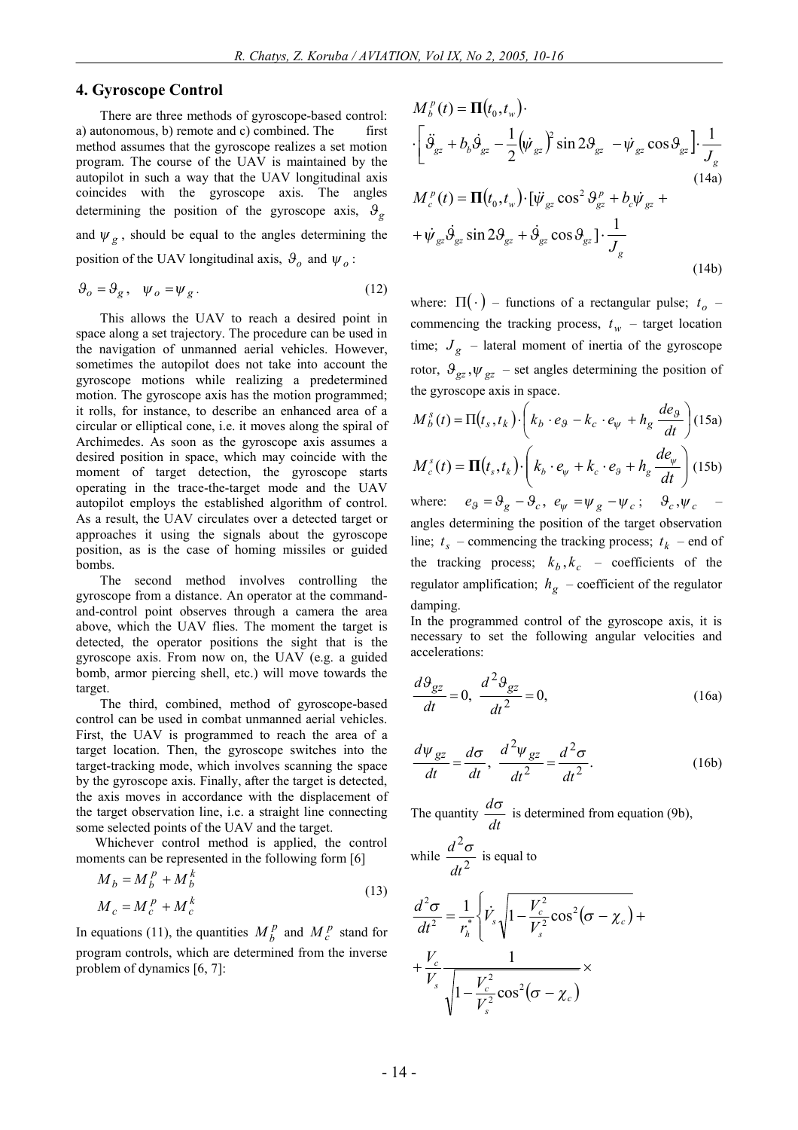#### **4. Gyroscope Control**

There are three methods of gyroscope-based control: a) autonomous, b) remote and c) combined. The first method assumes that the gyroscope realizes a set motion program. The course of the UAV is maintained by the autopilot in such a way that the UAV longitudinal axis coincides with the gyroscope axis. The angles determining the position of the gyroscope axis,  $\theta_{g}$ and  $\psi_g$ , should be equal to the angles determining the position of the UAV longitudinal axis,  $\theta_o$  and  $\psi_o$ :

$$
\mathcal{G}_o = \mathcal{G}_g, \quad \psi_o = \psi_g. \tag{12}
$$

This allows the UAV to reach a desired point in space along a set trajectory. The procedure can be used in the navigation of unmanned aerial vehicles. However, sometimes the autopilot does not take into account the gyroscope motions while realizing a predetermined motion. The gyroscope axis has the motion programmed; it rolls, for instance, to describe an enhanced area of a circular or elliptical cone, i.e. it moves along the spiral of Archimedes. As soon as the gyroscope axis assumes a desired position in space, which may coincide with the moment of target detection, the gyroscope starts operating in the trace-the-target mode and the UAV autopilot employs the established algorithm of control. As a result, the UAV circulates over a detected target or approaches it using the signals about the gyroscope position, as is the case of homing missiles or guided bombs.

The second method involves controlling the gyroscope from a distance. An operator at the commandand-control point observes through a camera the area above, which the UAV flies. The moment the target is detected, the operator positions the sight that is the gyroscope axis. From now on, the UAV (e.g. a guided bomb, armor piercing shell, etc.) will move towards the target.

The third, combined, method of gyroscope-based control can be used in combat unmanned aerial vehicles. First, the UAV is programmed to reach the area of a target location. Then, the gyroscope switches into the target-tracking mode, which involves scanning the space by the gyroscope axis. Finally, after the target is detected, the axis moves in accordance with the displacement of the target observation line, i.e. a straight line connecting some selected points of the UAV and the target.

Whichever control method is applied, the control moments can be represented in the following form [6]

$$
M_b = M_b^p + M_b^k
$$
  
\n
$$
M_c = M_c^p + M_c^k
$$
\n(13)

In equations (11), the quantities  $M_b^p$  and  $M_c^p$  stand for program controls, which are determined from the inverse problem of dynamics [6, 7]:

$$
M_{b}^{p}(t) = \mathbf{\Pi}(t_{0}, t_{w}) \cdot
$$
  
\n
$$
\cdot \left[ \ddot{\mathcal{G}}_{gz} + b_{b} \dot{\mathcal{G}}_{gz} - \frac{1}{2} (\dot{\psi}_{gz})^{2} \sin 2\mathcal{G}_{gz} - \dot{\psi}_{gz} \cos \mathcal{G}_{gz} \right] \cdot \frac{1}{J_{g}}
$$
  
\n
$$
M_{c}^{p}(t) = \mathbf{\Pi}(t_{0}, t_{w}) \cdot [\ddot{\psi}_{gz} \cos^{2} \theta_{gz}^{p} + b_{c} \dot{\psi}_{gz} +
$$
\n(14a)

$$
+\psi_{gz}\dot{\theta}_{gz}\sin 2\theta_{gz}+\dot{\theta}_{gz}\cos\theta_{gz}\left]\cdot\frac{1}{J_g}\right\}
$$
\n(14b)

where:  $\Pi(\cdot)$  – functions of a rectangular pulse;  $t_o$  – commencing the tracking process,  $t_w$  – target location time;  $J_g$  – lateral moment of inertia of the gyroscope rotor,  $\mathcal{Y}_{gz}$ ,  $\psi_{gz}$  – set angles determining the position of the gyroscope axis in space.

$$
M_b^s(t) = \Pi(t_s, t_k) \cdot \left(k_b \cdot e_9 - k_c \cdot e_\psi + h_g \frac{de_9}{dt}\right)
$$
 (15a)  

$$
M_c^s(t) = \Pi(t_s, t_k) \cdot \left(k_b \cdot e_\psi + k_c \cdot e_9 + h_g \frac{de_\psi}{dt}\right)
$$
 (15b)

where:  $e_g = \theta_g - \theta_c$ ,  $e_\psi = \psi_g - \psi_c$ ;  $\theta_c$ ,  $\psi_c$  – angles determining the position of the target observation line;  $t_s$  – commencing the tracking process;  $t_k$  – end of the tracking process;  $k_b$ ,  $k_c$  – coefficients of the regulator amplification;  $h_g$  – coefficient of the regulator damping.

In the programmed control of the gyroscope axis, it is necessary to set the following angular velocities and accelerations:

$$
\frac{d\Theta_{gz}}{dt} = 0, \quad \frac{d^2\Theta_{gz}}{dt^2} = 0,\tag{16a}
$$

$$
\frac{d\psi_{gz}}{dt} = \frac{d\sigma}{dt}, \quad \frac{d^2\psi_{gz}}{dt^2} = \frac{d^2\sigma}{dt^2}.
$$
 (16b)

The quantity  $\frac{dS}{dt}$  $\frac{d\sigma}{dt}$  is determined from equation (9b),

while 
$$
\frac{d^2\sigma}{dt^2}
$$
 is equal to

$$
\frac{d^2\sigma}{dt^2} = \frac{1}{r_h^*} \left\{ \dot{V}_s \sqrt{1 - \frac{V_c^2}{V_s^2} \cos^2(\sigma - \chi_c)} + \frac{V_c}{V_s} \frac{1}{\sqrt{1 - \frac{V_c^2}{V_s^2} \cos^2(\sigma - \chi_c)}} \times \right\}
$$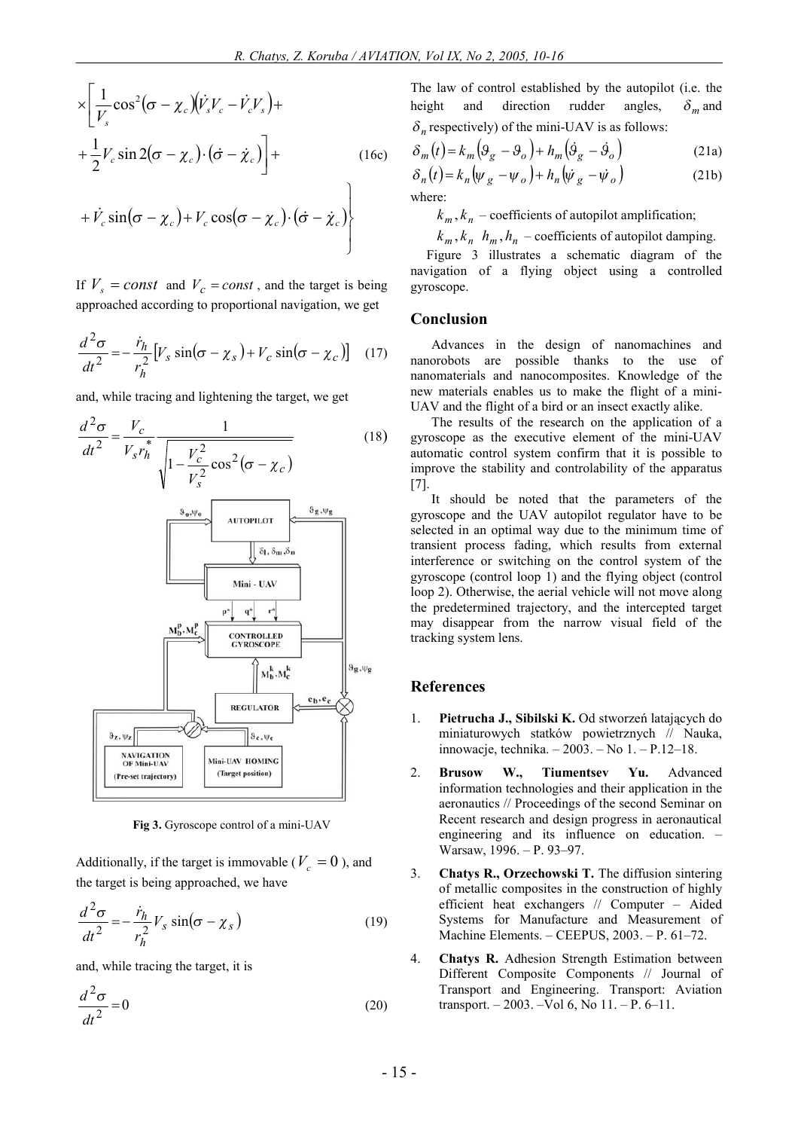þ

$$
\times \left[ \frac{1}{V_s} \cos^2 (\sigma - \chi_c) (\dot{V}_s V_c - \dot{V}_c V_s) + \frac{1}{2} V_c \sin 2(\sigma - \chi_c) \cdot (\dot{\sigma} - \dot{\chi}_c) \right] +
$$
\n
$$
+ \dot{V}_c \sin (\sigma - \chi_c) + V_c \cos (\sigma - \chi_c) \cdot (\dot{\sigma} - \dot{\chi}_c)
$$
\n(16c)

If  $V_s = const$  and  $V_c = const$ , and the target is being approached according to proportional navigation, we get

$$
\frac{d^2\sigma}{dt^2} = -\frac{\dot{r}_h}{r_h^2} \left[ V_s \sin(\sigma - \chi_s) + V_c \sin(\sigma - \chi_c) \right] \quad (17)
$$

and, while tracing and lightening the target, we get



**Fig 3.** Gyroscope control of a mini-UAV

Additionally, if the target is immovable ( $V_c = 0$ ), and the target is being approached, we have

$$
\frac{d^2\sigma}{dt^2} = -\frac{\dot{r}_h}{r_h^2} V_s \sin(\sigma - \chi_s)
$$
 (19)

and, while tracing the target, it is

$$
\frac{d^2\sigma}{dt^2} = 0\tag{20}
$$

The law of control established by the autopilot (i.e. the height and direction rudder angles,  $\delta_m$  and  $\delta_n$  respectively) of the mini-UAV is as follows:

$$
\delta_m(t) = k_m \left( \mathfrak{g}_g - \mathfrak{g}_o \right) + h_m \left( \mathfrak{g}_g - \mathfrak{g}_o \right)
$$
 (21a)

$$
\delta_n(t) = k_n \left( \psi_g - \psi_o \right) + h_n \left( \dot{\psi}_g - \dot{\psi}_o \right)
$$
\nwhere:

\n(21b)

 $k_m$ ,  $k_n$  – coefficients of autopilot amplification;

 $k_m$ ,  $k_n$   $h_m$ ,  $h_n$  – coefficients of autopilot damping.

Figure 3 illustrates a schematic diagram of the navigation of a flying object using a controlled gyroscope.

#### **Conclusion**

Advances in the design of nanomachines and nanorobots are possible thanks to the use of nanomaterials and nanocomposites. Knowledge of the new materials enables us to make the flight of a mini-UAV and the flight of a bird or an insect exactly alike.

The results of the research on the application of a gyroscope as the executive element of the mini-UAV automatic control system confirm that it is possible to improve the stability and controlability of the apparatus [7].

It should be noted that the parameters of the gyroscope and the UAV autopilot regulator have to be selected in an optimal way due to the minimum time of transient process fading, which results from external interference or switching on the control system of the gyroscope (control loop 1) and the flying object (control loop 2). Otherwise, the aerial vehicle will not move along the predetermined trajectory, and the intercepted target may disappear from the narrow visual field of the tracking system lens.

#### **References**

- 1. **Pietrucha J., Sibilski K.** Od stworzeń latających do miniaturowych statków powietrznych // Nauka, innowacje, technika. – 2003. – No 1. – P.12–18.
- 2. **Brusow W., Tiumentsev Yu.** Advanced information technologies and their application in the aeronautics // Proceedings of the second Seminar on Recent research and design progress in aeronautical engineering and its influence on education. – Warsaw, 1996. – P. 93–97.
- 3. **Chatys R., Orzechowski T.** The diffusion sintering of metallic composites in the construction of highly efficient heat exchangers // Computer – Aided Systems for Manufacture and Measurement of Machine Elements. – CEEPUS, 2003. – P. 61–72.
- 4. **Chatys R.** Adhesion Strength Estimation between Different Composite Components // Journal of Transport and Engineering. Transport: Aviation transport. – 2003. –Vol 6, No 11. – P. 6–11.